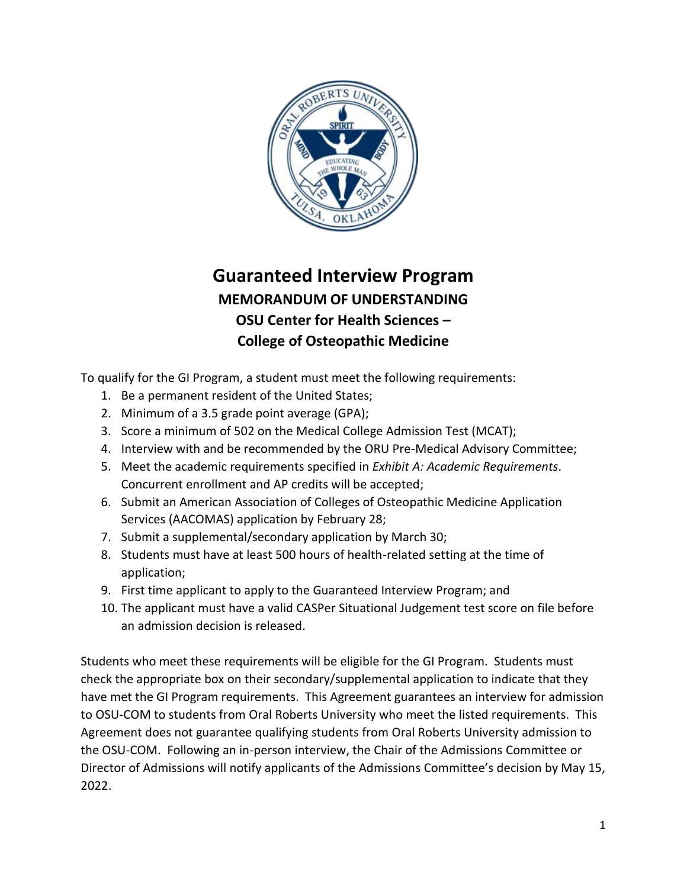

## **Guaranteed Interview Program MEMORANDUM OF UNDERSTANDING OSU Center for Health Sciences – College of Osteopathic Medicine**

To qualify for the GI Program, a student must meet the following requirements:

- 1. Be a permanent resident of the United States;
- 2. Minimum of a 3.5 grade point average (GPA);
- 3. Score a minimum of 502 on the Medical College Admission Test (MCAT);
- 4. Interview with and be recommended by the ORU Pre-Medical Advisory Committee;
- 5. Meet the academic requirements specified in *Exhibit A: Academic Requirements*. Concurrent enrollment and AP credits will be accepted;
- 6. Submit an American Association of Colleges of Osteopathic Medicine Application Services (AACOMAS) application by February 28;
- 7. Submit a supplemental/secondary application by March 30;
- 8. Students must have at least 500 hours of health-related setting at the time of application;
- 9. First time applicant to apply to the Guaranteed Interview Program; and
- 10. The applicant must have a valid CASPer Situational Judgement test score on file before an admission decision is released.

Students who meet these requirements will be eligible for the GI Program. Students must check the appropriate box on their secondary/supplemental application to indicate that they have met the GI Program requirements. This Agreement guarantees an interview for admission to OSU-COM to students from Oral Roberts University who meet the listed requirements. This Agreement does not guarantee qualifying students from Oral Roberts University admission to the OSU-COM. Following an in-person interview, the Chair of the Admissions Committee or Director of Admissions will notify applicants of the Admissions Committee's decision by May 15, 2022.